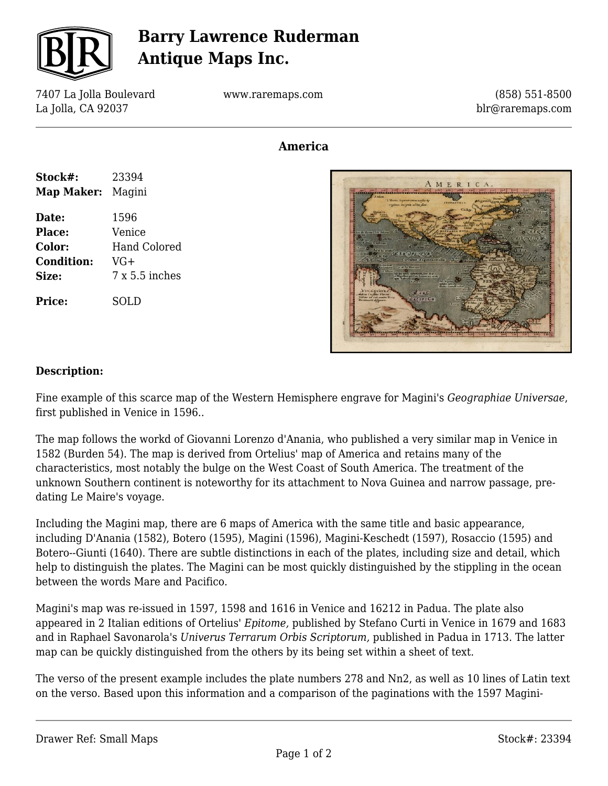

## **Barry Lawrence Ruderman Antique Maps Inc.**

7407 La Jolla Boulevard La Jolla, CA 92037

www.raremaps.com

(858) 551-8500 blr@raremaps.com

## **America**

| Stock#:           | 23394          |
|-------------------|----------------|
| Map Maker: Magini |                |
| Date:             | 1596           |
| Place:            | Venice         |
| Color:            | Hand Colored   |
| <b>Condition:</b> | $VG+$          |
| Size:             | 7 x 5.5 inches |
| <b>Price:</b>     | SOLD           |



#### **Description:**

Fine example of this scarce map of the Western Hemisphere engrave for Magini's *Geographiae Universae*, first published in Venice in 1596..

The map follows the workd of Giovanni Lorenzo d'Anania, who published a very similar map in Venice in 1582 (Burden 54). The map is derived from Ortelius' map of America and retains many of the characteristics, most notably the bulge on the West Coast of South America. The treatment of the unknown Southern continent is noteworthy for its attachment to Nova Guinea and narrow passage, predating Le Maire's voyage.

Including the Magini map, there are 6 maps of America with the same title and basic appearance, including D'Anania (1582), Botero (1595), Magini (1596), Magini-Keschedt (1597), Rosaccio (1595) and Botero--Giunti (1640). There are subtle distinctions in each of the plates, including size and detail, which help to distinguish the plates. The Magini can be most quickly distinguished by the stippling in the ocean between the words Mare and Pacifico.

Magini's map was re-issued in 1597, 1598 and 1616 in Venice and 16212 in Padua. The plate also appeared in 2 Italian editions of Ortelius' *Epitome,* published by Stefano Curti in Venice in 1679 and 1683 and in Raphael Savonarola's *Univerus Terrarum Orbis Scriptorum,* published in Padua in 1713. The latter map can be quickly distinguished from the others by its being set within a sheet of text.

The verso of the present example includes the plate numbers 278 and Nn2, as well as 10 lines of Latin text on the verso. Based upon this information and a comparison of the paginations with the 1597 Magini-